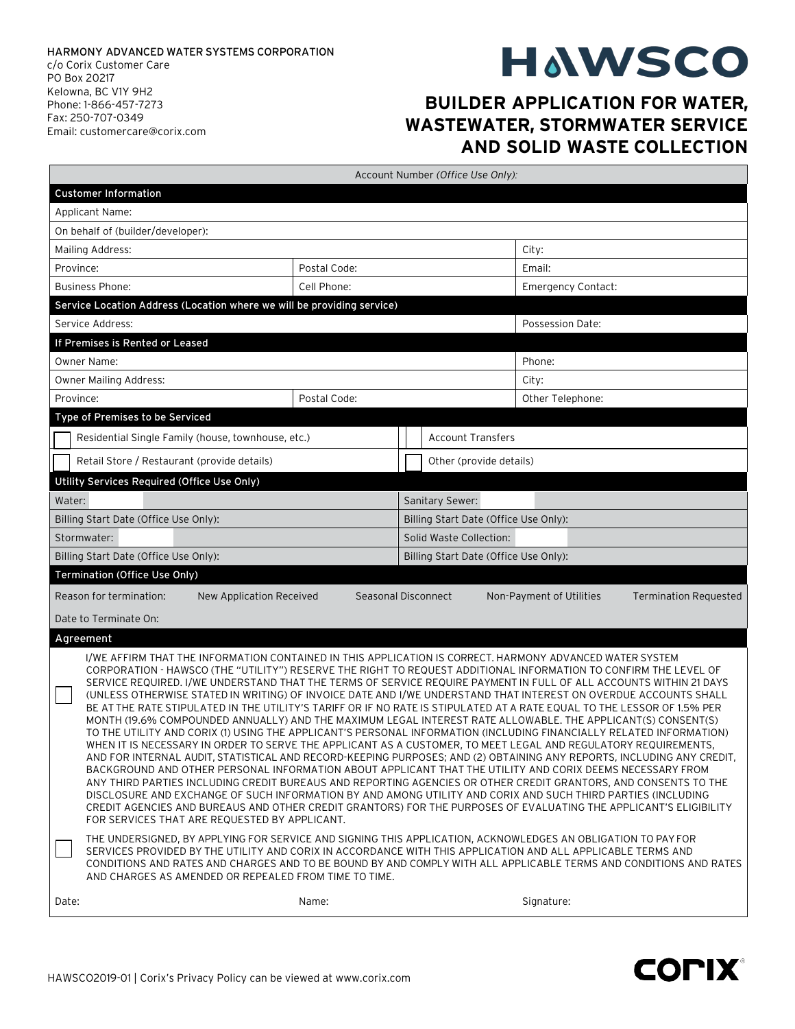## **HAWSCO**

## **BUILDER APPLICATION FOR WATER, WASTEWATER, STORMWATER SERVICE AND SOLID WASTE COLLECTION**

|                                                                                                                                                                                                                                                                                                                                                                                                                                                                                                                                                                                                                                                                                                                                                                                                                                                                                                                                                                                                                                                                                                                                                                                                                                                                                                                                                                                                                                                                                                                                                                                                                                                                                                                                                                                                                                                                                                                                                              | Account Number (Office Use Only):                              |  |                                       |                          |                           |  |
|--------------------------------------------------------------------------------------------------------------------------------------------------------------------------------------------------------------------------------------------------------------------------------------------------------------------------------------------------------------------------------------------------------------------------------------------------------------------------------------------------------------------------------------------------------------------------------------------------------------------------------------------------------------------------------------------------------------------------------------------------------------------------------------------------------------------------------------------------------------------------------------------------------------------------------------------------------------------------------------------------------------------------------------------------------------------------------------------------------------------------------------------------------------------------------------------------------------------------------------------------------------------------------------------------------------------------------------------------------------------------------------------------------------------------------------------------------------------------------------------------------------------------------------------------------------------------------------------------------------------------------------------------------------------------------------------------------------------------------------------------------------------------------------------------------------------------------------------------------------------------------------------------------------------------------------------------------------|----------------------------------------------------------------|--|---------------------------------------|--------------------------|---------------------------|--|
| <b>Customer Information</b>                                                                                                                                                                                                                                                                                                                                                                                                                                                                                                                                                                                                                                                                                                                                                                                                                                                                                                                                                                                                                                                                                                                                                                                                                                                                                                                                                                                                                                                                                                                                                                                                                                                                                                                                                                                                                                                                                                                                  |                                                                |  |                                       |                          |                           |  |
| Applicant Name:                                                                                                                                                                                                                                                                                                                                                                                                                                                                                                                                                                                                                                                                                                                                                                                                                                                                                                                                                                                                                                                                                                                                                                                                                                                                                                                                                                                                                                                                                                                                                                                                                                                                                                                                                                                                                                                                                                                                              |                                                                |  |                                       |                          |                           |  |
| On behalf of (builder/developer):                                                                                                                                                                                                                                                                                                                                                                                                                                                                                                                                                                                                                                                                                                                                                                                                                                                                                                                                                                                                                                                                                                                                                                                                                                                                                                                                                                                                                                                                                                                                                                                                                                                                                                                                                                                                                                                                                                                            |                                                                |  |                                       |                          |                           |  |
| Mailing Address:                                                                                                                                                                                                                                                                                                                                                                                                                                                                                                                                                                                                                                                                                                                                                                                                                                                                                                                                                                                                                                                                                                                                                                                                                                                                                                                                                                                                                                                                                                                                                                                                                                                                                                                                                                                                                                                                                                                                             |                                                                |  |                                       |                          | City:                     |  |
| Province:<br>Postal Code:                                                                                                                                                                                                                                                                                                                                                                                                                                                                                                                                                                                                                                                                                                                                                                                                                                                                                                                                                                                                                                                                                                                                                                                                                                                                                                                                                                                                                                                                                                                                                                                                                                                                                                                                                                                                                                                                                                                                    |                                                                |  |                                       |                          | Email:                    |  |
| Cell Phone:<br><b>Business Phone:</b>                                                                                                                                                                                                                                                                                                                                                                                                                                                                                                                                                                                                                                                                                                                                                                                                                                                                                                                                                                                                                                                                                                                                                                                                                                                                                                                                                                                                                                                                                                                                                                                                                                                                                                                                                                                                                                                                                                                        |                                                                |  |                                       |                          | <b>Emergency Contact:</b> |  |
| Service Location Address (Location where we will be providing service)                                                                                                                                                                                                                                                                                                                                                                                                                                                                                                                                                                                                                                                                                                                                                                                                                                                                                                                                                                                                                                                                                                                                                                                                                                                                                                                                                                                                                                                                                                                                                                                                                                                                                                                                                                                                                                                                                       |                                                                |  |                                       |                          |                           |  |
| Service Address:                                                                                                                                                                                                                                                                                                                                                                                                                                                                                                                                                                                                                                                                                                                                                                                                                                                                                                                                                                                                                                                                                                                                                                                                                                                                                                                                                                                                                                                                                                                                                                                                                                                                                                                                                                                                                                                                                                                                             |                                                                |  |                                       |                          | Possession Date:          |  |
| If Premises is Rented or Leased                                                                                                                                                                                                                                                                                                                                                                                                                                                                                                                                                                                                                                                                                                                                                                                                                                                                                                                                                                                                                                                                                                                                                                                                                                                                                                                                                                                                                                                                                                                                                                                                                                                                                                                                                                                                                                                                                                                              |                                                                |  |                                       |                          |                           |  |
| <b>Owner Name:</b>                                                                                                                                                                                                                                                                                                                                                                                                                                                                                                                                                                                                                                                                                                                                                                                                                                                                                                                                                                                                                                                                                                                                                                                                                                                                                                                                                                                                                                                                                                                                                                                                                                                                                                                                                                                                                                                                                                                                           |                                                                |  |                                       |                          | Phone:                    |  |
| Owner Mailing Address:                                                                                                                                                                                                                                                                                                                                                                                                                                                                                                                                                                                                                                                                                                                                                                                                                                                                                                                                                                                                                                                                                                                                                                                                                                                                                                                                                                                                                                                                                                                                                                                                                                                                                                                                                                                                                                                                                                                                       |                                                                |  |                                       |                          | City:                     |  |
| Postal Code:<br>Province:                                                                                                                                                                                                                                                                                                                                                                                                                                                                                                                                                                                                                                                                                                                                                                                                                                                                                                                                                                                                                                                                                                                                                                                                                                                                                                                                                                                                                                                                                                                                                                                                                                                                                                                                                                                                                                                                                                                                    |                                                                |  |                                       |                          | Other Telephone:          |  |
| Type of Premises to be Serviced                                                                                                                                                                                                                                                                                                                                                                                                                                                                                                                                                                                                                                                                                                                                                                                                                                                                                                                                                                                                                                                                                                                                                                                                                                                                                                                                                                                                                                                                                                                                                                                                                                                                                                                                                                                                                                                                                                                              |                                                                |  |                                       |                          |                           |  |
|                                                                                                                                                                                                                                                                                                                                                                                                                                                                                                                                                                                                                                                                                                                                                                                                                                                                                                                                                                                                                                                                                                                                                                                                                                                                                                                                                                                                                                                                                                                                                                                                                                                                                                                                                                                                                                                                                                                                                              | Residential Single Family (house, townhouse, etc.)             |  |                                       | <b>Account Transfers</b> |                           |  |
|                                                                                                                                                                                                                                                                                                                                                                                                                                                                                                                                                                                                                                                                                                                                                                                                                                                                                                                                                                                                                                                                                                                                                                                                                                                                                                                                                                                                                                                                                                                                                                                                                                                                                                                                                                                                                                                                                                                                                              | Retail Store / Restaurant (provide details)                    |  |                                       | Other (provide details)  |                           |  |
| Utility Services Required (Office Use Only)                                                                                                                                                                                                                                                                                                                                                                                                                                                                                                                                                                                                                                                                                                                                                                                                                                                                                                                                                                                                                                                                                                                                                                                                                                                                                                                                                                                                                                                                                                                                                                                                                                                                                                                                                                                                                                                                                                                  |                                                                |  |                                       |                          |                           |  |
| Water:                                                                                                                                                                                                                                                                                                                                                                                                                                                                                                                                                                                                                                                                                                                                                                                                                                                                                                                                                                                                                                                                                                                                                                                                                                                                                                                                                                                                                                                                                                                                                                                                                                                                                                                                                                                                                                                                                                                                                       |                                                                |  |                                       | Sanitary Sewer:          |                           |  |
| Billing Start Date (Office Use Only):                                                                                                                                                                                                                                                                                                                                                                                                                                                                                                                                                                                                                                                                                                                                                                                                                                                                                                                                                                                                                                                                                                                                                                                                                                                                                                                                                                                                                                                                                                                                                                                                                                                                                                                                                                                                                                                                                                                        |                                                                |  | Billing Start Date (Office Use Only): |                          |                           |  |
| Stormwater:                                                                                                                                                                                                                                                                                                                                                                                                                                                                                                                                                                                                                                                                                                                                                                                                                                                                                                                                                                                                                                                                                                                                                                                                                                                                                                                                                                                                                                                                                                                                                                                                                                                                                                                                                                                                                                                                                                                                                  |                                                                |  | Solid Waste Collection:               |                          |                           |  |
| Billing Start Date (Office Use Only):                                                                                                                                                                                                                                                                                                                                                                                                                                                                                                                                                                                                                                                                                                                                                                                                                                                                                                                                                                                                                                                                                                                                                                                                                                                                                                                                                                                                                                                                                                                                                                                                                                                                                                                                                                                                                                                                                                                        |                                                                |  | Billing Start Date (Office Use Only): |                          |                           |  |
| Termination (Office Use Only)                                                                                                                                                                                                                                                                                                                                                                                                                                                                                                                                                                                                                                                                                                                                                                                                                                                                                                                                                                                                                                                                                                                                                                                                                                                                                                                                                                                                                                                                                                                                                                                                                                                                                                                                                                                                                                                                                                                                |                                                                |  |                                       |                          |                           |  |
| Reason for termination:<br>Seasonal Disconnect<br><b>Termination Requested</b><br>New Application Received<br>Non-Payment of Utilities                                                                                                                                                                                                                                                                                                                                                                                                                                                                                                                                                                                                                                                                                                                                                                                                                                                                                                                                                                                                                                                                                                                                                                                                                                                                                                                                                                                                                                                                                                                                                                                                                                                                                                                                                                                                                       |                                                                |  |                                       |                          |                           |  |
| Date to Terminate On:                                                                                                                                                                                                                                                                                                                                                                                                                                                                                                                                                                                                                                                                                                                                                                                                                                                                                                                                                                                                                                                                                                                                                                                                                                                                                                                                                                                                                                                                                                                                                                                                                                                                                                                                                                                                                                                                                                                                        |                                                                |  |                                       |                          |                           |  |
| Agreement                                                                                                                                                                                                                                                                                                                                                                                                                                                                                                                                                                                                                                                                                                                                                                                                                                                                                                                                                                                                                                                                                                                                                                                                                                                                                                                                                                                                                                                                                                                                                                                                                                                                                                                                                                                                                                                                                                                                                    |                                                                |  |                                       |                          |                           |  |
| I/WE AFFIRM THAT THE INFORMATION CONTAINED IN THIS APPLICATION IS CORRECT. HARMONY ADVANCED WATER SYSTEM<br>CORPORATION - HAWSCO (THE "UTILITY") RESERVE THE RIGHT TO REQUEST ADDITIONAL INFORMATION TO CONFIRM THE LEVEL OF<br>SERVICE REQUIRED. I/WE UNDERSTAND THAT THE TERMS OF SERVICE REQUIRE PAYMENT IN FULL OF ALL ACCOUNTS WITHIN 21 DAYS<br>(UNLESS OTHERWISE STATED IN WRITING) OF INVOICE DATE AND I/WE UNDERSTAND THAT INTEREST ON OVERDUE ACCOUNTS SHALL<br>BE AT THE RATE STIPULATED IN THE UTILITY'S TARIFF OR IF NO RATE IS STIPULATED AT A RATE EQUAL TO THE LESSOR OF 1.5% PER<br>MONTH (19.6% COMPOUNDED ANNUALLY) AND THE MAXIMUM LEGAL INTEREST RATE ALLOWABLE. THE APPLICANT(S) CONSENT(S)<br>TO THE UTILITY AND CORIX (1) USING THE APPLICANT'S PERSONAL INFORMATION (INCLUDING FINANCIALLY RELATED INFORMATION)<br>WHEN IT IS NECESSARY IN ORDER TO SERVE THE APPLICANT AS A CUSTOMER, TO MEET LEGAL AND REGULATORY REQUIREMENTS<br>AND FOR INTERNAL AUDIT, STATISTICAL AND RECORD-KEEPING PURPOSES; AND (2) OBTAINING ANY REPORTS, INCLUDING ANY CREDIT,<br>BACKGROUND AND OTHER PERSONAL INFORMATION ABOUT APPLICANT THAT THE UTILITY AND CORIX DEEMS NECESSARY FROM<br>ANY THIRD PARTIES INCLUDING CREDIT BUREAUS AND REPORTING AGENCIES OR OTHER CREDIT GRANTORS, AND CONSENTS TO THE<br>DISCLOSURE AND EXCHANGE OF SUCH INFORMATION BY AND AMONG UTILITY AND CORIX AND SUCH THIRD PARTIES (INCLUDING<br>CREDIT AGENCIES AND BUREAUS AND OTHER CREDIT GRANTORS) FOR THE PURPOSES OF EVALUATING THE APPLICANT'S ELIGIBILITY<br>FOR SERVICES THAT ARE REQUESTED BY APPLICANT.<br>THE UNDERSIGNED, BY APPLYING FOR SERVICE AND SIGNING THIS APPLICATION, ACKNOWLEDGES AN OBLIGATION TO PAY FOR<br>SERVICES PROVIDED BY THE UTILITY AND CORIX IN ACCORDANCE WITH THIS APPLICATION AND ALL APPLICABLE TERMS AND<br>CONDITIONS AND RATES AND CHARGES AND TO BE BOUND BY AND COMPLY WITH ALL APPLICABLE TERMS AND CONDITIONS AND RATES |                                                                |  |                                       |                          |                           |  |
| Date:                                                                                                                                                                                                                                                                                                                                                                                                                                                                                                                                                                                                                                                                                                                                                                                                                                                                                                                                                                                                                                                                                                                                                                                                                                                                                                                                                                                                                                                                                                                                                                                                                                                                                                                                                                                                                                                                                                                                                        | AND CHARGES AS AMENDED OR REPEALED FROM TIME TO TIME.<br>Name: |  |                                       | Signature:               |                           |  |
|                                                                                                                                                                                                                                                                                                                                                                                                                                                                                                                                                                                                                                                                                                                                                                                                                                                                                                                                                                                                                                                                                                                                                                                                                                                                                                                                                                                                                                                                                                                                                                                                                                                                                                                                                                                                                                                                                                                                                              |                                                                |  |                                       |                          |                           |  |